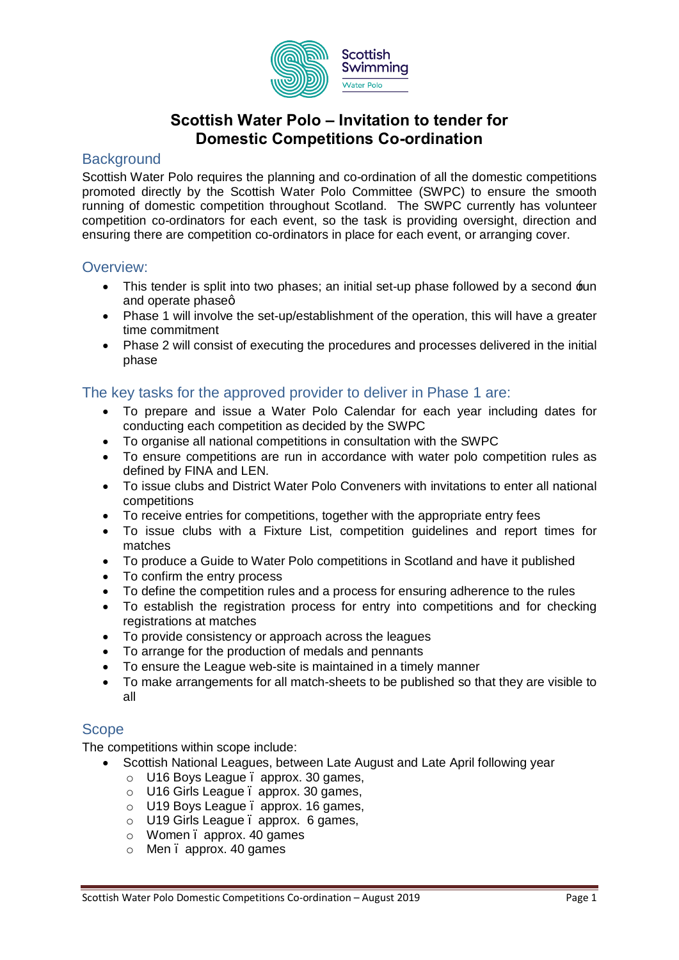

# **Scottish Water Polo – Invitation to tender for Domestic Competitions Co-ordination**

#### **Background**

Scottish Water Polo requires the planning and co-ordination of all the domestic competitions promoted directly by the Scottish Water Polo Committee (SWPC) to ensure the smooth running of domestic competition throughout Scotland. The SWPC currently has volunteer competition co-ordinators for each event, so the task is providing oversight, direction and ensuring there are competition co-ordinators in place for each event, or arranging cover.

### Overview:

- This tender is split into two phases; an initial set-up phase followed by a second  $\pm$ un and operate phaseg
- · Phase 1 will involve the set-up/establishment of the operation, this will have a greater time commitment
- · Phase 2 will consist of executing the procedures and processes delivered in the initial phase

## The key tasks for the approved provider to deliver in Phase 1 are:

- · To prepare and issue a Water Polo Calendar for each year including dates for conducting each competition as decided by the SWPC
- · To organise all national competitions in consultation with the SWPC
- · To ensure competitions are run in accordance with water polo competition rules as defined by FINA and LEN.
- · To issue clubs and District Water Polo Conveners with invitations to enter all national competitions
- · To receive entries for competitions, together with the appropriate entry fees
- · To issue clubs with a Fixture List, competition guidelines and report times for matches
- · To produce a Guide to Water Polo competitions in Scotland and have it published
- · To confirm the entry process
- · To define the competition rules and a process for ensuring adherence to the rules
- · To establish the registration process for entry into competitions and for checking registrations at matches
- · To provide consistency or approach across the leagues
- · To arrange for the production of medals and pennants
- · To ensure the League web-site is maintained in a timely manner
- · To make arrangements for all match-sheets to be published so that they are visible to all

## Scope

The competitions within scope include:

- · Scottish National Leagues, between Late August and Late April following year
	- $\circ$  U16 Boys League, approx. 30 games,
	- o U16 Girls League approx. 30 games,
	- o U19 Boys League approx. 16 games,
	- $\circ$  U19 Girls League . approx. 6 games,
	- $\circ$  Women, approx, 40 games
	- $\circ$  Men. approx. 40 games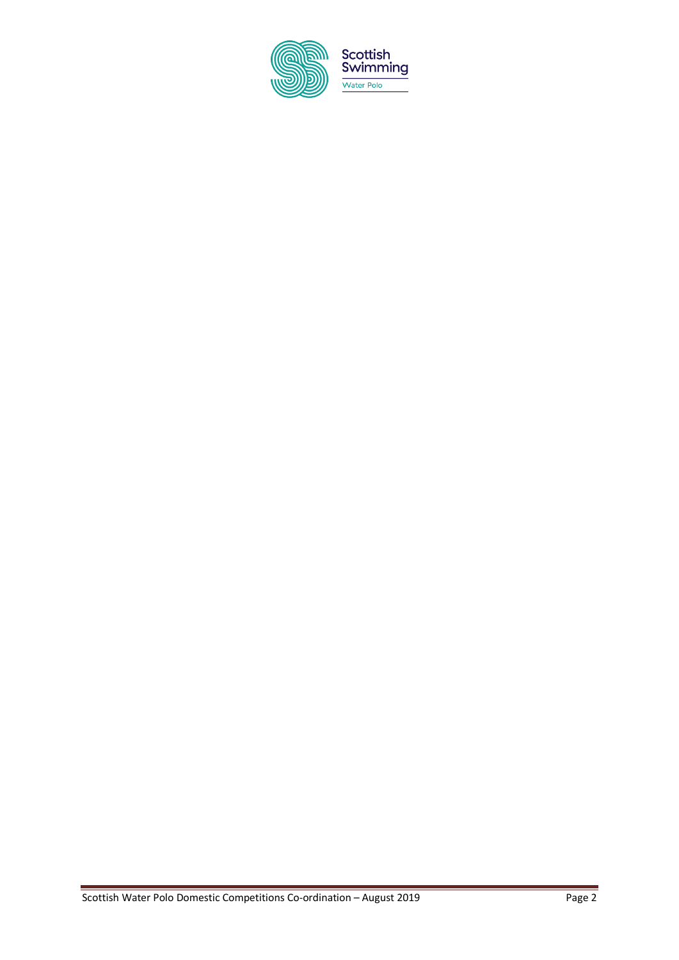